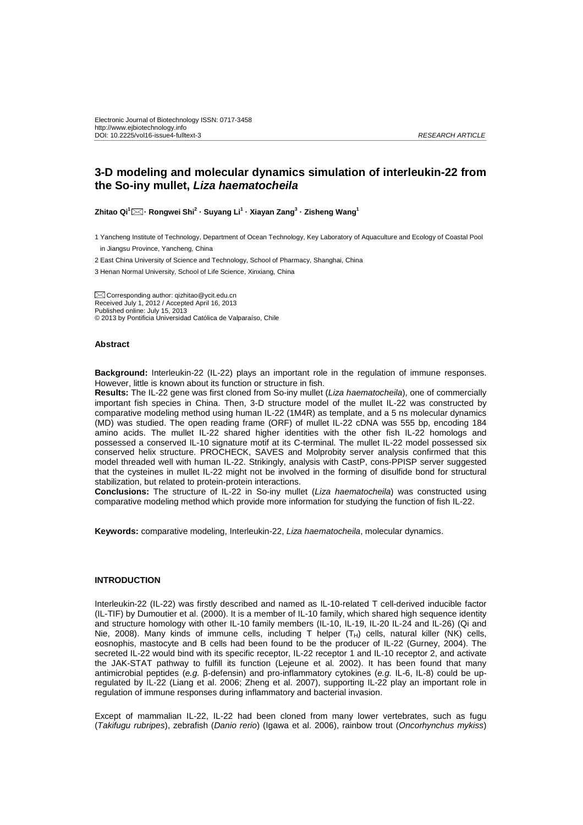# **3-D modeling and molecular dynamics simulation of interleukin-22 from the So-iny mullet, Liza haematocheila**

**Zhitao Qi<sup>1</sup> · Rongwei Shi<sup>2</sup> · Suyang Li<sup>1</sup> · Xiayan Zang<sup>3</sup> · Zisheng Wang<sup>1</sup>**

1 Yancheng Institute of Technology, Department of Ocean Technology, Key Laboratory of Aquaculture and Ecology of Coastal Pool in Jiangsu Province, Yancheng, China

2 East China University of Science and Technology, School of Pharmacy, Shanghai, China

3 Henan Normal University, School of Life Science, Xinxiang, China

 Corresponding author: qizhitao@ycit.edu.cn Received July 1, 2012 / Accepted April 16, 2013 Published online: July 15, 2013 © 2013 by Pontificia Universidad Católica de Valparaíso, Chile

### **Abstract**

**Background:** Interleukin-22 (IL-22) plays an important role in the regulation of immune responses. However, little is known about its function or structure in fish.

**Results:** The IL-22 gene was first cloned from So-iny mullet (Liza haematocheila), one of commercially important fish species in China. Then, 3-D structure model of the mullet IL-22 was constructed by comparative modeling method using human IL-22 (1M4R) as template, and a 5 ns molecular dynamics (MD) was studied. The open reading frame (ORF) of mullet IL-22 cDNA was 555 bp, encoding 184 amino acids. The mullet IL-22 shared higher identities with the other fish IL-22 homologs and possessed a conserved IL-10 signature motif at its C-terminal. The mullet IL-22 model possessed six conserved helix structure. PROCHECK, SAVES and Molprobity server analysis confirmed that this model threaded well with human IL-22. Strikingly, analysis with CastP, cons-PPISP server suggested that the cysteines in mullet IL-22 might not be involved in the forming of disulfide bond for structural stabilization, but related to protein-protein interactions.

**Conclusions:** The structure of IL-22 in So-iny mullet (Liza haematocheila) was constructed using comparative modeling method which provide more information for studying the function of fish IL-22.

**Keywords:** comparative modeling, Interleukin-22, Liza haematocheila, molecular dynamics.

#### **INTRODUCTION**

Interleukin-22 (IL-22) was firstly described and named as IL-10-related T cell-derived inducible factor (IL-TIF) by Dumoutier et al. (2000). It is a member of IL-10 family, which shared high sequence identity and structure homology with other IL-10 family members (IL-10, IL-19, IL-20 IL-24 and IL-26) (Qi and Nie, 2008). Many kinds of immune cells, including T helper  $(T_H)$  cells, natural killer (NK) cells, eosnophis, mastocyte and B cells had been found to be the producer of IL-22 (Gurney, 2004). The secreted IL-22 would bind with its specific receptor, IL-22 receptor 1 and IL-10 receptor 2, and activate the JAK-STAT pathway to fulfill its function (Lejeune et al. 2002). It has been found that many antimicrobial peptides (e.g. β-defensin) and pro-inflammatory cytokines (e.g. IL-6, IL-8) could be upregulated by IL-22 (Liang et al. 2006; Zheng et al. 2007), supporting IL-22 play an important role in regulation of immune responses during inflammatory and bacterial invasion.

Except of mammalian IL-22, IL-22 had been cloned from many lower vertebrates, such as fugu (Takifugu rubripes), zebrafish (Danio rerio) (Igawa et al. 2006), rainbow trout (Oncorhynchus mykiss)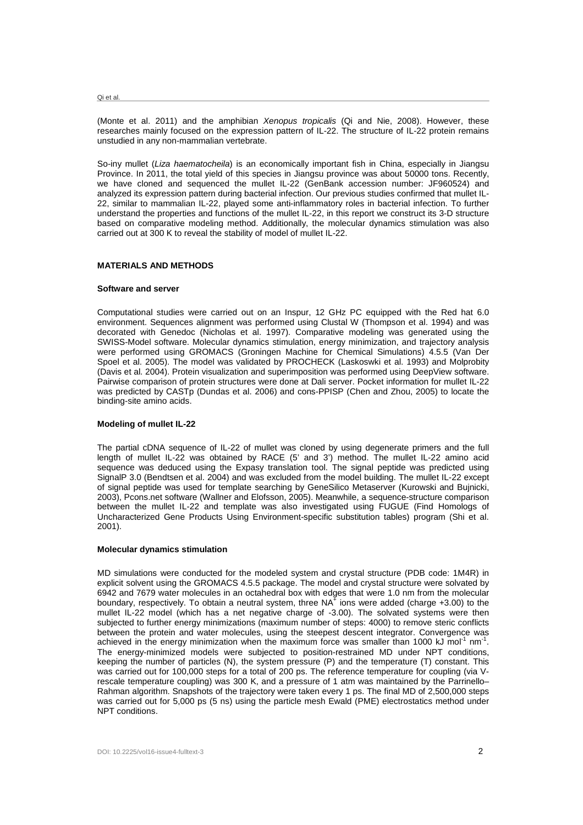Qi et al.

(Monte et al. 2011) and the amphibian Xenopus tropicalis (Qi and Nie, 2008). However, these researches mainly focused on the expression pattern of IL-22. The structure of IL-22 protein remains unstudied in any non-mammalian vertebrate.

So-iny mullet (Liza haematocheila) is an economically important fish in China, especially in Jiangsu Province. In 2011, the total yield of this species in Jiangsu province was about 50000 tons. Recently, we have cloned and sequenced the mullet IL-22 (GenBank accession number: JF960524) and analyzed its expression pattern during bacterial infection. Our previous studies confirmed that mullet IL-22, similar to mammalian IL-22, played some anti-inflammatory roles in bacterial infection. To further understand the properties and functions of the mullet IL-22, in this report we construct its 3-D structure based on comparative modeling method. Additionally, the molecular dynamics stimulation was also carried out at 300 K to reveal the stability of model of mullet IL-22.

## **MATERIALS AND METHODS**

#### **Software and server**

Computational studies were carried out on an Inspur, 12 GHz PC equipped with the Red hat 6.0 environment. Sequences alignment was performed using Clustal W (Thompson et al. 1994) and was decorated with Genedoc (Nicholas et al. 1997). Comparative modeling was generated using the SWISS-Model software. Molecular dynamics stimulation, energy minimization, and trajectory analysis were performed using GROMACS (Groningen Machine for Chemical Simulations) 4.5.5 (Van Der Spoel et al. 2005). The model was validated by PROCHECK (Laskoswki et al. 1993) and Molprobity (Davis et al. 2004). Protein visualization and superimposition was performed using DeepView software. Pairwise comparison of protein structures were done at Dali server. Pocket information for mullet IL-22 was predicted by CASTp (Dundas et al. 2006) and cons-PPISP (Chen and Zhou, 2005) to locate the binding-site amino acids.

## **Modeling of mullet IL-22**

The partial cDNA sequence of IL-22 of mullet was cloned by using degenerate primers and the full length of mullet IL-22 was obtained by RACE (5' and 3') method. The mullet IL-22 amino acid sequence was deduced using the Expasy translation tool. The signal peptide was predicted using SignalP 3.0 (Bendtsen et al. 2004) and was excluded from the model building. The mullet IL-22 except of signal peptide was used for template searching by GeneSilico Metaserver (Kurowski and Bujnicki, 2003), Pcons.net software (Wallner and Elofsson, 2005). Meanwhile, a sequence-structure comparison between the mullet IL-22 and template was also investigated using FUGUE (Find Homologs of Uncharacterized Gene Products Using Environment-specific substitution tables) program (Shi et al. 2001).

#### **Molecular dynamics stimulation**

MD simulations were conducted for the modeled system and crystal structure (PDB code: 1M4R) in explicit solvent using the GROMACS 4.5.5 package. The model and crystal structure were solvated by 6942 and 7679 water molecules in an octahedral box with edges that were 1.0 nm from the molecular boundary, respectively. To obtain a neutral system, three NA<sup> $\check{+}$ </sup> ions were added (charge +3.00) to the mullet IL-22 model (which has a net negative charge of -3.00). The solvated systems were then subjected to further energy minimizations (maximum number of steps: 4000) to remove steric conflicts between the protein and water molecules, using the steepest descent integrator. Convergence was achieved in the energy minimization when the maximum force was smaller than 1000 kJ mol<sup>-1</sup> nm<sup>-1</sup>. The energy-minimized models were subjected to position-restrained MD under NPT conditions, keeping the number of particles (N), the system pressure (P) and the temperature (T) constant. This was carried out for 100,000 steps for a total of 200 ps. The reference temperature for coupling (via Vrescale temperature coupling) was 300 K, and a pressure of 1 atm was maintained by the Parrinello– Rahman algorithm. Snapshots of the trajectory were taken every 1 ps. The final MD of 2,500,000 steps was carried out for 5,000 ps (5 ns) using the particle mesh Ewald (PME) electrostatics method under NPT conditions.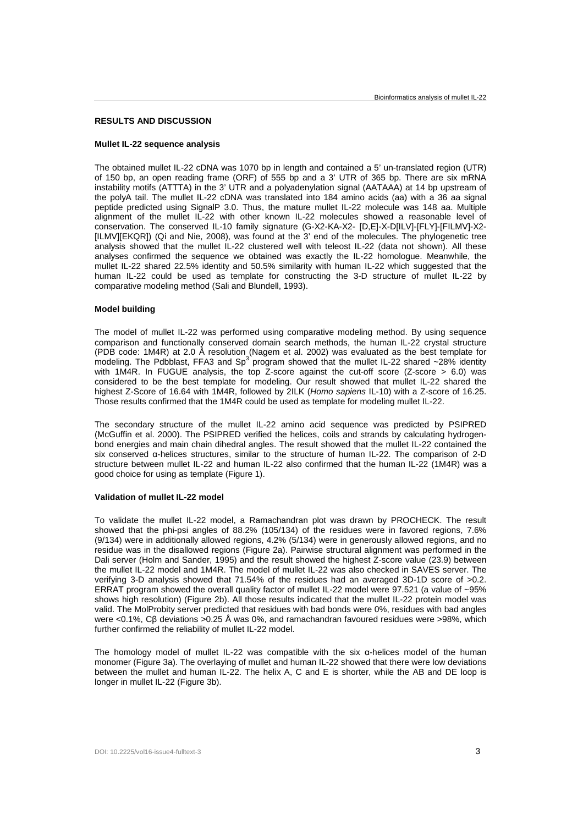# **RESULTS AND DISCUSSION**

# **Mullet IL-22 sequence analysis**

The obtained mullet IL-22 cDNA was 1070 bp in length and contained a 5' un-translated region (UTR) of 150 bp, an open reading frame (ORF) of 555 bp and a 3' UTR of 365 bp. There are six mRNA instability motifs (ATTTA) in the 3' UTR and a polyadenylation signal (AATAAA) at 14 bp upstream of the polyA tail. The mullet IL-22 cDNA was translated into 184 amino acids (aa) with a 36 aa signal peptide predicted using SignalP 3.0. Thus, the mature mullet IL-22 molecule was 148 aa. Multiple alignment of the mullet IL-22 with other known IL-22 molecules showed a reasonable level of conservation. The conserved IL-10 family signature (G-X2-KA-X2- [D,E]-X-D[ILV]-[FLY]-[FILMV]-X2- [ILMV][EKQR]) (Qi and Nie, 2008), was found at the 3' end of the molecules. The phylogenetic tree analysis showed that the mullet IL-22 clustered well with teleost IL-22 (data not shown). All these analyses confirmed the sequence we obtained was exactly the IL-22 homologue. Meanwhile, the mullet IL-22 shared 22.5% identity and 50.5% similarity with human IL-22 which suggested that the human IL-22 could be used as template for constructing the 3-D structure of mullet IL-22 by comparative modeling method (Sali and Blundell, 1993).

# **Model building**

The model of mullet IL-22 was performed using comparative modeling method. By using sequence comparison and functionally conserved domain search methods, the human IL-22 crystal structure (PDB code: 1M4R) at 2.0 Å resolution (Nagem et al. 2002) was evaluated as the best template for<br>modeling. The Pdbblast, FFA3 and Sp<sup>3</sup> program showed that the mullet IL-22 shared ~28% identity with 1M4R. In FUGUE analysis, the top Z-score against the cut-off score (Z-score  $> 6.0$ ) was considered to be the best template for modeling. Our result showed that mullet IL-22 shared the highest Z-Score of 16.64 with 1M4R, followed by 2ILK (Homo sapiens IL-10) with a Z-score of 16.25. Those results confirmed that the 1M4R could be used as template for modeling mullet IL-22.

The secondary structure of the mullet IL-22 amino acid sequence was predicted by PSIPRED (McGuffin et al. 2000). The PSIPRED verified the helices, coils and strands by calculating hydrogenbond energies and main chain dihedral angles. The result showed that the mullet IL-22 contained the six conserved α-helices structures, similar to the structure of human IL-22. The comparison of 2-D structure between mullet IL-22 and human IL-22 also confirmed that the human IL-22 (1M4R) was a good choice for using as template (Figure 1).

#### **Validation of mullet IL-22 model**

To validate the mullet IL-22 model, a Ramachandran plot was drawn by PROCHECK. The result showed that the phi-psi angles of 88.2% (105/134) of the residues were in favored regions, 7.6% (9/134) were in additionally allowed regions, 4.2% (5/134) were in generously allowed regions, and no residue was in the disallowed regions (Figure 2a). Pairwise structural alignment was performed in the Dali server (Holm and Sander, 1995) and the result showed the highest Z-score value (23.9) between the mullet IL-22 model and 1M4R. The model of mullet IL-22 was also checked in SAVES server. The verifying 3-D analysis showed that 71.54% of the residues had an averaged 3D-1D score of >0.2. ERRAT program showed the overall quality factor of mullet IL-22 model were 97.521 (a value of ~95% shows high resolution) (Figure 2b). All those results indicated that the mullet IL-22 protein model was valid. The MolProbity server predicted that residues with bad bonds were 0%, residues with bad angles were <0.1%, Cβ deviations >0.25 Å was 0%, and ramachandran favoured residues were >98%, which further confirmed the reliability of mullet IL-22 model.

The homology model of mullet IL-22 was compatible with the six  $\alpha$ -helices model of the human monomer (Figure 3a). The overlaying of mullet and human IL-22 showed that there were low deviations between the mullet and human IL-22. The helix A, C and E is shorter, while the AB and DE loop is longer in mullet IL-22 (Figure 3b).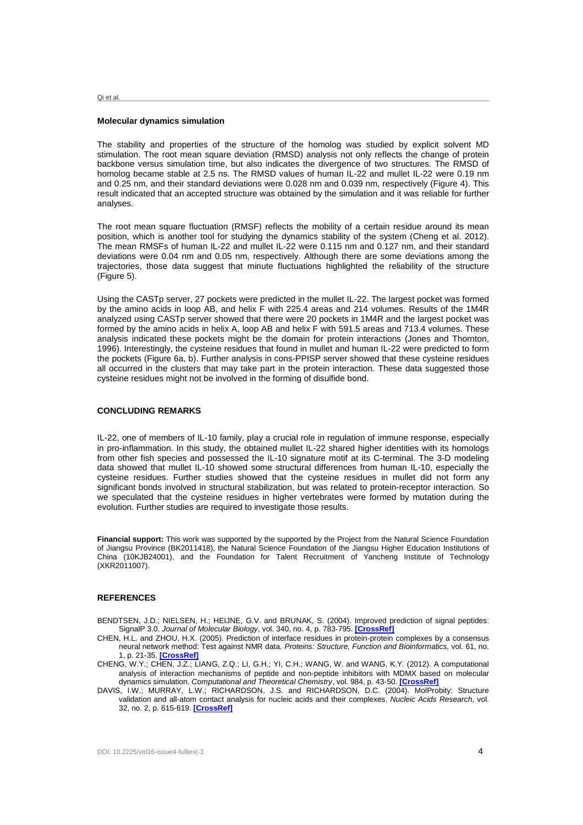Qi et al.

#### **Molecular dynamics simulation**

The stability and properties of the structure of the homolog was studied by explicit solvent MD stimulation. The root mean square deviation (RMSD) analysis not only reflects the change of protein backbone versus simulation time, but also indicates the divergence of two structures. The RMSD of homolog became stable at 2.5 ns. The RMSD values of human IL-22 and mullet IL-22 were 0.19 nm and 0.25 nm, and their standard deviations were 0.028 nm and 0.039 nm, respectively (Figure 4). This result indicated that an accepted structure was obtained by the simulation and it was reliable for further analyses.

The root mean square fluctuation (RMSF) reflects the mobility of a certain residue around its mean position, which is another tool for studying the dynamics stability of the system (Cheng et al. 2012). The mean RMSFs of human IL-22 and mullet IL-22 were 0.115 nm and 0.127 nm, and their standard deviations were 0.04 nm and 0.05 nm, respectively. Although there are some deviations among the trajectories, those data suggest that minute fluctuations highlighted the reliability of the structure (Figure 5).

Using the CASTp server, 27 pockets were predicted in the mullet IL-22. The largest pocket was formed by the amino acids in loop AB, and helix F with 225.4 areas and 214 volumes. Results of the 1M4R analyzed using CASTp server showed that there were 20 pockets in 1M4R and the largest pocket was formed by the amino acids in helix A, loop AB and helix F with 591.5 areas and 713.4 volumes. These analysis indicated these pockets might be the domain for protein interactions (Jones and Thornton, 1996). Interestingly, the cysteine residues that found in mullet and human IL-22 were predicted to form the pockets (Figure 6a, b). Further analysis in cons-PPISP server showed that these cysteine residues all occurred in the clusters that may take part in the protein interaction. These data suggested those cysteine residues might not be involved in the forming of disulfide bond.

# **CONCLUDING REMARKS**

IL-22, one of members of IL-10 family, play a crucial role in regulation of immune response, especially in pro-inflammation. In this study, the obtained mullet IL-22 shared higher identities with its homologs from other fish species and possessed the IL-10 signature motif at its C-terminal. The 3-D modeling data showed that mullet IL-10 showed some structural differences from human IL-10, especially the cysteine residues. Further studies showed that the cysteine residues in mullet did not form any significant bonds involved in structural stabilization, but was related to protein-receptor interaction. So we speculated that the cysteine residues in higher vertebrates were formed by mutation during the evolution. Further studies are required to investigate those results.

**Financial support:** This work was supported by the supported by the Project from the Natural Science Foundation of Jiangsu Province (BK2011418), the Natural Science Foundation of the Jiangsu Higher Education Institutions of China (10KJB24001), and the Foundation for Talent Recruitment of Yancheng Institute of Technology (XKR2011007).

### **REFERENCES**

- BENDTSEN, J.D.; NIELSEN, H.; HEIJNE, G.V. and BRUNAK, S. (2004). Improved prediction of signal peptides: SignalP 3.0. Journal of Molecular Biology, vol. 340, no. 4, p. 783-795. **[CrossRef]**
- CHEN, H.L. and ZHOU, H.X. (2005). Prediction of interface residues in protein-protein complexes by a consensus neural network method: Test against NMR data. Proteins: Structure, Function and Bioinformatics, vol. 61, no. 1, p. 21-35. **[CrossRef]**
- CHENG, W.Y.; CHEN, J.Z.; LIANG, Z.Q.; LI, G.H.; YI, C.H.; WANG, W. and WANG, K.Y. (2012). A computational analysis of interaction mechanisms of peptide and non-peptide inhibitors with MDMX based on molecular dynamics simulation. Computational and Theoretical Chemistry, vol. 984, p. 43-50. **[CrossRef]**
- DAVIS, I.W.; MURRAY, L.W.; RICHARDSON, J.S. and RICHARDSON, D.C. (2004). MolProbity: Structure validation and all-atom contact analysis for nucleic acids and their complexes. Nucleic Acids Research, vol. 32, no. 2, p. 615-619. **[CrossRef]**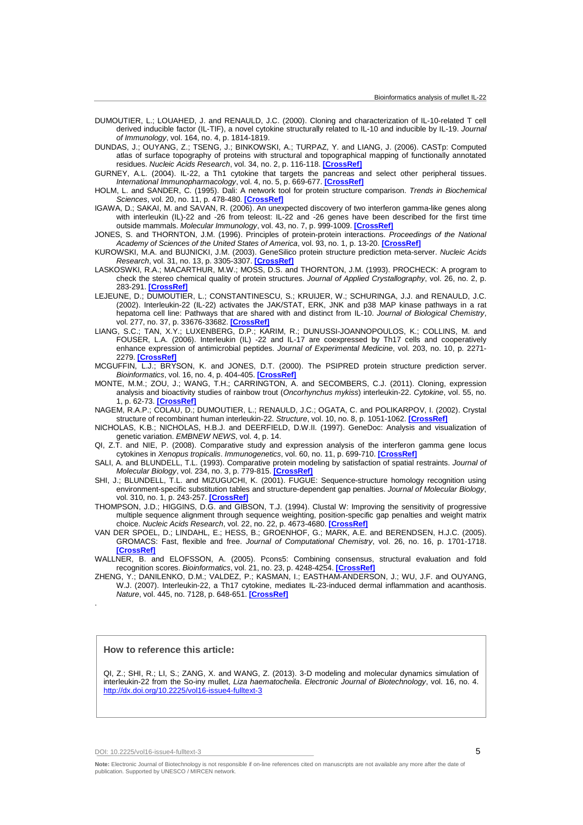- DUMOUTIER, L.; LOUAHED, J. and RENAULD, J.C. (2000). Cloning and characterization of IL-10-related T cell derived inducible factor (IL-TIF), a novel cytokine structurally related to IL-10 and inducible by IL-19. Journal of Immunology, vol. 164, no. 4, p. 1814-1819.
- DUNDAS, J.; OUYANG, Z.; TSENG, J.; BINKOWSKI, A.; TURPAZ, Y. and LIANG, J. (2006). CASTp: Computed atlas of surface topography of proteins with structural and topographical mapping of functionally annotated residues. Nucleic Acids Research, vol. 34, no. 2, p. 116-118. **[CrossRef]**
- GURNEY, A.L. (2004). IL-22, a Th1 cytokine that targets the pancreas and select other peripheral tissues. International Immunopharmacology, vol. 4, no. 5, p. 669-677. **[CrossRef]**
- HOLM, L. and SANDER, C. (1995). Dali: A network tool for protein structure comparison. Trends in Biochemical Sciences, vol. 20, no. 11, p. 478-480. **[CrossRef]**
- IGAWA, D.; SAKAI, M. and SAVAN, R. (2006). An unexpected discovery of two interferon gamma-like genes along with interleukin (IL)-22 and -26 from teleost: IL-22 and -26 genes have been described for the first time outside mammals. Molecular Immunology, vol. 43, no. 7, p. 999-1009. **[CrossRef]**
- JONES, S. and THORNTON, J.M. (1996). Principles of protein-protein interactions. Proceedings of the National Academy of Sciences of the United States of America, vol. 93, no. 1, p. 13-20. **[CrossRef]**
- KUROWSKI, M.A. and BUJNICKI, J.M. (2003). GeneSilico protein structure prediction meta-server. Nucleic Acids Research, vol. 31, no. 13, p. 3305-3307. **[CrossRef]**
- LASKOSWKI, R.A.; MACARTHUR, M.W.; MOSS, D.S. and THORNTON, J.M. (1993). PROCHECK: A program to check the stereo chemical quality of protein structures. Journal of Applied Crystallography, vol. 26, no. 2, p. 283-291. **[CrossRef]**
- LEJEUNE, D.; DUMOUTIER, L.; CONSTANTINESCU, S.; KRUIJER, W.; SCHURINGA, J.J. and RENAULD, J.C. (2002). Interleukin-22 (IL-22) activates the JAK/STAT, ERK, JNK and p38 MAP kinase pathways in a rat hepatoma cell line: Pathways that are shared with and distinct from IL-10. Journal of Biological Chemistry, vol. 277, no. 37, p. 33676-33682. **[CrossRef]**
- LIANG, S.C.; TAN, X.Y.; LUXENBERG, D.P.; KARIM, R.; DUNUSSI-JOANNOPOULOS, K.; COLLINS, M. and FOUSER, L.A. (2006). Interleukin (IL) -22 and IL-17 are coexpressed by Th17 cells and cooperatively enhance expression of antimicrobial peptides. Journal of Experimental Medicine, vol. 203, no. 10, p. 2271-2279. **[CrossRef]**
- MCGUFFIN, L.J.; BRYSON, K. and JONES, D.T. (2000). The PSIPRED protein structure prediction server. Bioinformatics, vol. 16, no. 4, p. 404-405. **[CrossRef]**
- MONTE, M.M.; ZOU, J.; WANG, T.H.; CARRINGTON, A. and SECOMBERS, C.J. (2011). Cloning, expression analysis and bioactivity studies of rainbow trout (Oncorhynchus mykiss) interleukin-22. Cytokine, vol. 55, no. 1, p. 62-73. **[CrossRef]**
- NAGEM, R.A.P.; COLAU, D.; DUMOUTIER, L.; RENAULD, J.C.; OGATA, C. and POLIKARPOV, I. (2002). Crystal structure of recombinant human interleukin-22. Structure, vol. 10, no. 8, p. 1051-1062. **[CrossRef]**
- NICHOLAS, K.B.; NICHOLAS, H.B.J. and DEERFIELD, D.W.II. (1997). GeneDoc: Analysis and visualization of genetic variation. EMBNEW NEWS, vol. 4, p. 14.
- QI, Z.T. and NIE, P. (2008). Comparative study and expression analysis of the interferon gamma gene locus cytokines in Xenopus tropicalis. Immunogenetics, vol. 60, no. 11, p. 699-710. **[CrossRef]**
- SALI, A. and BLUNDELL, T.L. (1993). Comparative protein modeling by satisfaction of spatial restraints. Journal of Molecular Biology, vol. 234, no. 3, p. 779-815. **[CrossRef]**
- SHI, J.; BLUNDELL, T.L. and MIZUGUCHI, K. (2001). FUGUE: Sequence-structure homology recognition using environment-specific substitution tables and structure-dependent gap penalties. Journal of Molecular Biology, vol. 310, no. 1, p. 243-257. **[CrossRef]**
- THOMPSON, J.D.; HIGGINS, D.G. and GIBSON, T.J. (1994). Clustal W: Improving the sensitivity of progressive multiple sequence alignment through sequence weighting, position-specific gap penalties and weight matrix choice. Nucleic Acids Research, vol. 22, no. 22, p. 4673-4680. **[CrossRef]**
- VAN DER SPOEL, D.; LINDAHL, E.; HESS, B.; GROENHOF, G.; MARK, A.E. and BERENDSEN, H.J.C. (2005). GROMACS: Fast, flexible and free. Journal of Computational Chemistry, vol. 26, no. 16, p. 1701-1718. **[CrossRef]**

WALLNER, B. and ELOFSSON, A. (2005). Pcons5: Combining consensus, structural evaluation and fold recognition scores. Bioinformatics, vol. 21, no. 23, p. 4248-4254. **[CrossRef]**

ZHENG, Y.; DANILENKO, D.M.; VALDEZ, P.; KASMAN, I.; EASTHAM-ANDERSON, J.; WU, J.F. and OUYANG, W.J. (2007). Interleukin-22, a Th17 cytokine, mediates IL-23-induced dermal inflammation and acanthosis. Nature, vol. 445, no. 7128, p. 648-651. **[CrossRef]**

# **How to reference this article:**

.

QI, Z.; SHI, R.; LI, S.; ZANG, X. and WANG, Z. (2013). 3-D modeling and molecular dynamics simulation of interleukin-22 from the So-iny mullet, Liza haematocheila. Electronic Journal of Biotechnology, vol. 16, no. 4. http://dx.doi.org/10.2225/vol16-issue4-fulltext-3

DOI: 10.2225/vol16-issue4-fulltext-3  $\overline{5}$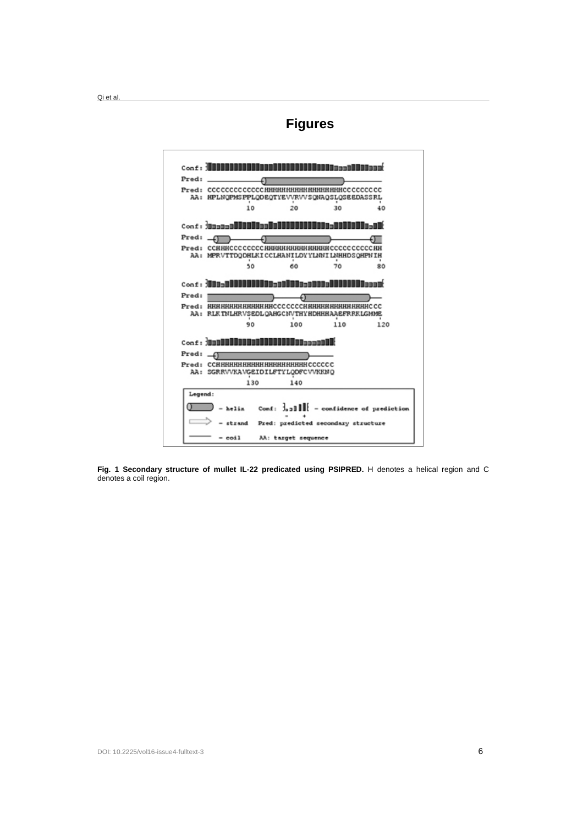Qi et al.

# **Figures**



**Fig. 1 Secondary structure of mullet IL-22 predicated using PSIPRED.** H denotes a helical region and C denotes a coil region.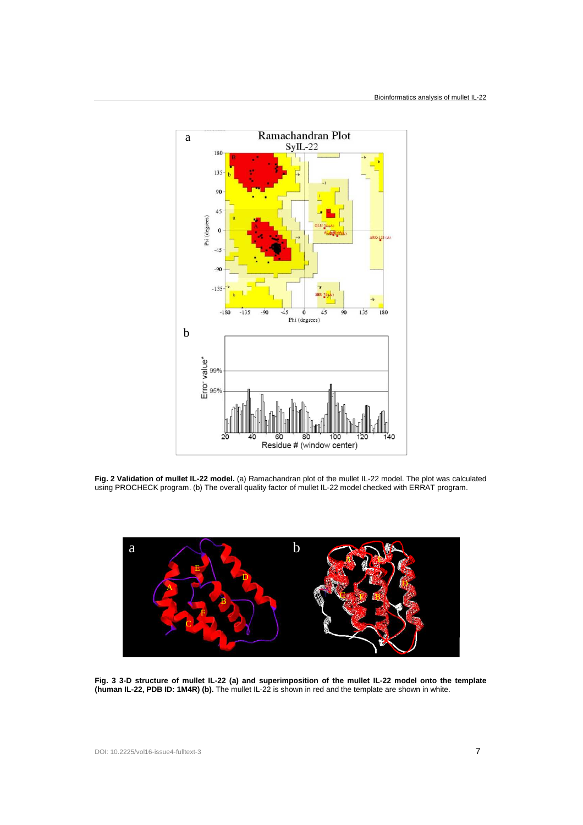

**Fig. 2 Validation of mullet IL-22 model.** (a) Ramachandran plot of the mullet IL-22 model. The plot was calculated using PROCHECK program. (b) The overall quality factor of mullet IL-22 model checked with ERRAT program.



**Fig. 3 3-D structure of mullet IL-22 (a) and superimposition of the mullet IL-22 model onto the template (human IL-22, PDB ID: 1M4R) (b).** The mullet IL-22 is shown in red and the template are shown in white.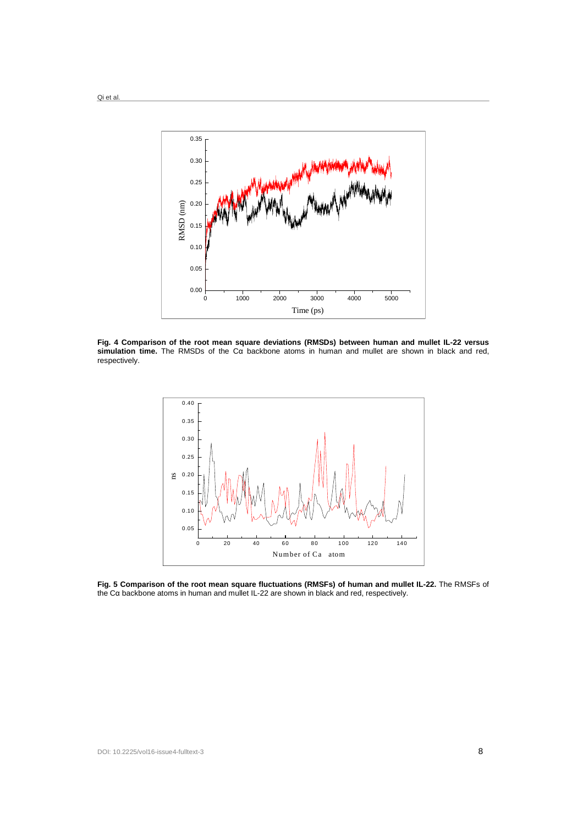

**Fig. 4 Comparison of the root mean square deviations (RMSDs) between human and mullet IL-22 versus simulation time.** The RMSDs of the Cα backbone atoms in human and mullet are shown in black and red, respectively.



**Fig. 5 Comparison of the root mean square fluctuations (RMSFs) of human and mullet IL-22.** The RMSFs of the Cα backbone atoms in human and mullet IL-22 are shown in black and red, respectively.